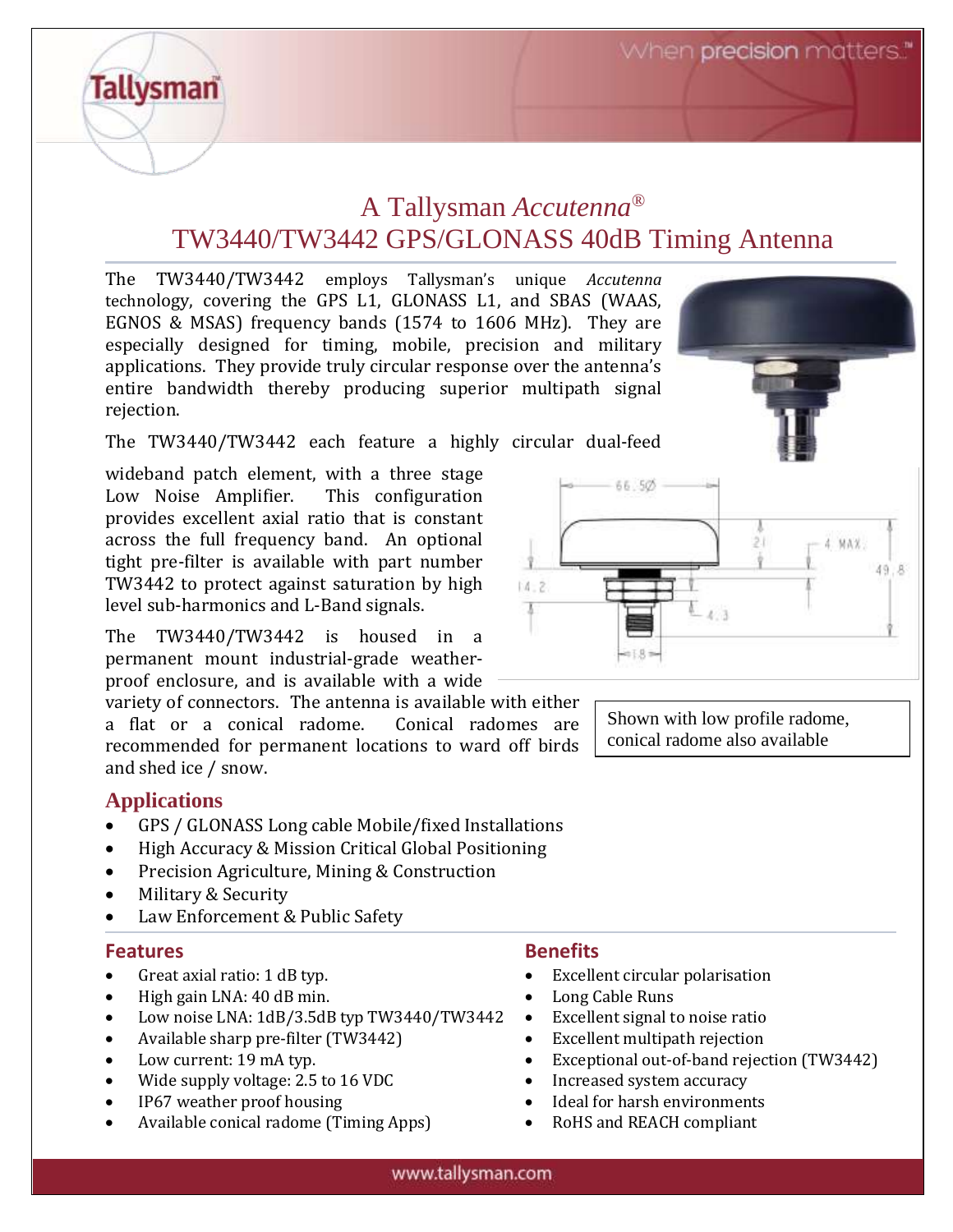# A Tallysman *Accutenna®* TW3440/TW3442 GPS/GLONASS 40dB Timing Antenna

The TW3440/TW3442 employs Tallysman's unique *Accutenna* technology, covering the GPS L1, GLONASS L1, and SBAS (WAAS, EGNOS & MSAS) frequency bands (1574 to 1606 MHz). They are especially designed for timing, mobile, precision and military applications. They provide truly circular response over the antenna's entire bandwidth thereby producing superior multipath signal rejection.

The TW3440/TW3442 each feature a highly circular dual-feed

wideband patch element, with a three stage Low Noise Amplifier. This configuration provides excellent axial ratio that is constant across the full frequency band. An optional tight pre-filter is available with part number TW3442 to protect against saturation by high level sub-harmonics and L-Band signals.

The TW3440/TW3442 is housed in a permanent mount industrial-grade weatherproof enclosure, and is available with a wide

variety of connectors. The antenna is available with either a flat or a conical radome. Conical radomes are recommended for permanent locations to ward off birds and shed ice / snow.

# **Applications**

**Tallysman** 

- GPS / GLONASS Long cable Mobile/fixed Installations
- High Accuracy & Mission Critical Global Positioning
- Precision Agriculture, Mining & Construction
- Military & Security
- Law Enforcement & Public Safety

#### **Features Benefits**

- Great axial ratio: 1 dB typ.
- High gain LNA: 40 dB min.
- Low noise LNA: 1dB/3.5dB typ TW3440/TW3442
- Available sharp pre-filter (TW3442)
- Low current: 19 mA typ.
- Wide supply voltage: 2.5 to 16 VDC
- IP67 weather proof housing
- Available conical radome (Timing Apps)

 $14 - 2$ 

- Excellent circular polarisation
- Long Cable Runs
- Excellent signal to noise ratio
- Excellent multipath rejection
- Exceptional out-of-band rejection (TW3442)
- Increased system accuracy
- Ideal for harsh environments
- RoHS and REACH compliant



Shown with low profile radome, conical radome also available